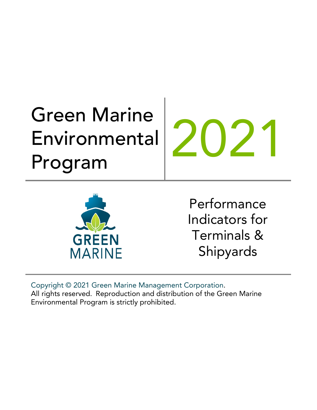# Green Marine Environmental Environmental 202



Performance Indicators for Terminals & Shipyards

Copyright © 2021 Green Marine Management Corporation. All rights reserved. Reproduction and distribution of the Green Marine Environmental Program is strictly prohibited.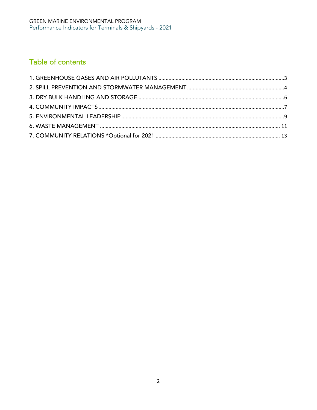# Table of contents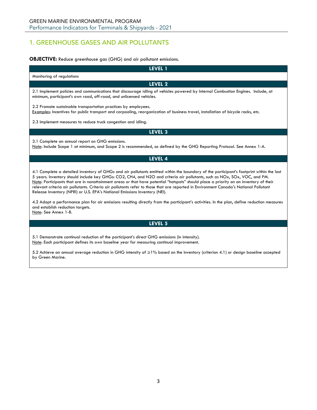# <span id="page-2-0"></span>1. GREENHOUSE GASES AND AIR POLLUTANTS

## **OBJECTIVE:** Reduce greenhouse gas (GHG) and air pollutant emissions.

| <b>LEVEL 1</b>                                                                                                                                                                                                                                                                                                                                                                                                                                                                                                                                                                                                                       |  |
|--------------------------------------------------------------------------------------------------------------------------------------------------------------------------------------------------------------------------------------------------------------------------------------------------------------------------------------------------------------------------------------------------------------------------------------------------------------------------------------------------------------------------------------------------------------------------------------------------------------------------------------|--|
| Monitoring of regulations                                                                                                                                                                                                                                                                                                                                                                                                                                                                                                                                                                                                            |  |
| <b>LEVEL 2</b>                                                                                                                                                                                                                                                                                                                                                                                                                                                                                                                                                                                                                       |  |
| 2.1 Implement policies and communications that discourage idling of vehicles powered by Internal Combustion Engines. Include, at<br>minimum, participant's own road, off-road, and unlicensed vehicles.                                                                                                                                                                                                                                                                                                                                                                                                                              |  |
| 2.2 Promote sustainable transportation practices by employees.<br>Examples: Incentives for public transport and carpooling, reorganization of business travel, installation of bicycle racks, etc.                                                                                                                                                                                                                                                                                                                                                                                                                                   |  |
| 2.3 Implement measures to reduce truck congestion and idling.                                                                                                                                                                                                                                                                                                                                                                                                                                                                                                                                                                        |  |
| LEVEL <sub>3</sub>                                                                                                                                                                                                                                                                                                                                                                                                                                                                                                                                                                                                                   |  |
| 3.1 Complete an annual report on GHG emissions.<br>Note: Include Scope 1 at minimum, and Scope 2 is recommended, as defined by the GHG Reporting Protocol. See Annex 1-A.                                                                                                                                                                                                                                                                                                                                                                                                                                                            |  |
| <b>LEVEL 4</b>                                                                                                                                                                                                                                                                                                                                                                                                                                                                                                                                                                                                                       |  |
| 4.1 Complete a detailed inventory of GHGs and air pollutants emitted within the boundary of the participant's footprint within the last<br>5 years. Inventory should include key GHGs: CO2, CH4, and N2O and criteria air pollutants, such as NOx, SOx, VOC, and PM.<br>Note: Participants that are in nonattainment areas or that have potential "hotspots" should place a priority on an inventory of their<br>relevant criteria air pollutants. Criteria air pollutants refer to those that are reported in Environment Canada's National Pollutant<br>Release Inventory (NPRI) or U.S. EPA's National Emissions Inventory (NEI). |  |
| 4.2 Adopt a performance plan for air emissions resulting directly from the participant's activities. In the plan, define reduction measures<br>and establish reduction targets.<br>Note: See Annex 1-B.                                                                                                                                                                                                                                                                                                                                                                                                                              |  |
| <b>LEVEL 5</b>                                                                                                                                                                                                                                                                                                                                                                                                                                                                                                                                                                                                                       |  |
|                                                                                                                                                                                                                                                                                                                                                                                                                                                                                                                                                                                                                                      |  |

5.1 Demonstrate continual reduction of the participant's direct GHG emissions (in intensity). Note: Each participant defines its own baseline year for measuring continual improvement.

5.2 Achieve an annual average reduction in GHG intensity of ≥1% based on the inventory (criterion 4.1) or design baseline accepted by Green Marine.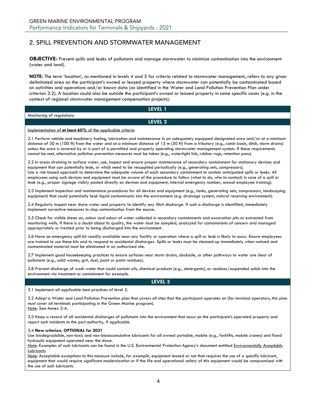# <span id="page-3-0"></span>2. SPILL PREVENTION AND STORMWATER MANAGEMENT

**OBJECTIVE:** Prevent spills and leaks of pollutants and manage stormwater to minimize contamination into the environment (water and land).

**NOTE:** The term 'location', as mentioned in levels 4 and 5 for criteria related to stormwater management, refers to any given delimitated area on the participant's owned or leased property where stormwater can potentially be contaminated based on activities and operations and/or known data (as identified in the Water and Land Pollution Prevention Plan under criterion 3.2). A location could also be outside the participant's owned or leased property in some specific cases (e.g. in the context of regional stormwater management compensation projects).

|                                                           | LEVEL 1                                                                                                        |
|-----------------------------------------------------------|----------------------------------------------------------------------------------------------------------------|
| Monitoring of regulations                                 |                                                                                                                |
|                                                           | LEVEL 2                                                                                                        |
| Implementation of at least 60% of the applicable criteria |                                                                                                                |
|                                                           | 101 . (1919) . (1920) . (1930) . (1931) . (1931) . (1931) . (1931) . (1931) . (1931) . (1931) . (1931) . (1931 |

2.1 Perform vehicle and machinery fueling, lubrication and maintenance in an adequately equipped designated area and/or at a minimum distance of 30 m (100 ft) from the water and at a minimum distance of 15 m (50 ft) from a tributary (e.g., catch basin, ditch, storm drains) unless the area is covered by or is part of a permitted and properly operating stormwater management system. If these requirements cannot be met, alternative pollution prevention measures must be taken (e.g., watertight lids, rubber rugs, retention pans).

2.2 In areas draining to surface water, use, inspect and ensure proper maintenance of secondary containment for stationary devices and equipment that can potentially leak, or which need to be resupplied periodically (e.g., generating sets, compressors). Use a risk-based approach to determine the adequate volume of each secondary containment to contain anticipated spills or leaks. All employees using such devices and equipment must be aware of the procedure to follow (what to do, who to contact) in case of a spill or leak (e.g., proper signage visibly posted directly on devices and equipment, internal emergency number, annual employee training).

2.3 Implement inspection and maintenance procedures for all devices and equipment (e.g., tanks, generating sets, compressors, landscaping equipment) that could potentially leak liquid contaminants into the environment (e.g. drainage system, natural receiving environment).

2.4 Regularly inspect near shore water and property to identify any illicit discharge. If such a discharge is identified, immediately implement corrective measures to stop contamination from the source.

2.5 Check for visible sheen on, colour and odour of water collected in secondary containments and excavation pits or extracted from monitoring wells. If there is a doubt about its quality, the water must be sampled, analyzed for contaminants of concern and managed appropriately or treated prior to being discharged into the environment.

2.6 Have an emergency spill kit readily available near any facility or operation where a spill or leak is likely to occur. Ensure employees are trained to use these kits and to respond to accidental discharges. Spills or leaks must be cleaned-up immediately when noticed and contaminated material must be eliminated in an authorized site.

2.7 Implement good housekeeping practices to ensure surfaces near storm drains, dockside, or other pathways to water are clear of pollutants (e.g., solid wastes, grit, dust, paint or paint residues).

2.8 Prevent discharge of wash water that could contain oils, chemical products (e.g., detergents), or residues/suspended solids into the environment via treatment or containment for example.

## **LEVEL 3**

3.1 Implement all applicable best practices of level 2.

3.2 Adopt a Water and Land Pollution Prevention plan that covers all sites that the participant operates on (for terminal operators, this plan must cover all terminals participating in the Green Marine program). Note: See Annex 2-A.

3.3 Keep a record of all accidental discharges of pollutants into the environment that occur on the participant's operated property and report such incidents to the port authority, if applicable.

#### 3.4 **New criterion, OPTIONAL for 2021**

Use biodegradable, non-toxic and non-bioaccumulative lubricants for all owned portable, mobile (e.g., forklifts, mobile cranes) and fixed hydraulic equipment operated near the shore.

Note: Examples of such lubricants can be found in the U.S. Environmental Protection Agency's document entitled *[Environmentally Acceptable](https://www3.epa.gov/npdes/pubs/vgp_environmentally_acceptable_lubricants.pdf)  [Lubricants](https://www3.epa.gov/npdes/pubs/vgp_environmentally_acceptable_lubricants.pdf)*.

Note: Acceptable exceptions to this measure include, for example, equipment leased or not that requires the use of a specific lubricant, equipment that would require significant modernization or if the life and operational safety of this equipment would be compromised with the use of such lubricants.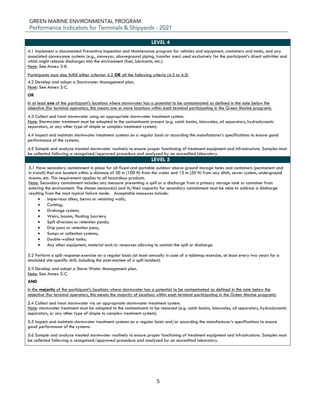4.1 Implement a documented Preventive Inspection and Maintenance program for vehicles and equipment, containers and tanks, and any associated conveyance systems (e.g., conveyor, aboveground piping, transfer oses) used exclusively for the participant's direct activities and which might release discharges into the environment (fuel, lubricants, etc.). Note: See Annex 2-B.

#### Participants must also fulfill either criterion 4.2 **OR** all the following criteria (4.3 to 4.5)

4.2 Develop and adopt a Stormwater Management plan. Note: See Annex 2-C.

**OR**

In at least **one** of the participant's locations where stormwater has a potential to be contaminated as defined in the note below the objective (for terminal operators, this means one or more locations within each terminal participating in the Green Marine program):

4.3 Collect and treat stormwater using an appropriate stormwater treatment system. Note: Stormwater treatment must be adapted to the contaminants present (e.g. catch basins, bioswales, oil separators, hydrodynamic separators, or any other type of simple or complex treatment system).

4.4 Inspect and maintain stormwater treatment systems on a regular basis or according the manufacturer's specifications to ensure good performance of the systems.

4.5 Sample and analyze treated stormwater routinely to ensure proper functioning of treatment equipment and infrastructure. Samples must be collected following a recognized/approved procedure and analyzed by an accredited laboratory.

#### **LEVEL 5**

5.1 Have secondary containment in place for all fixed and portable outdoor above ground storage tanks and containers (permanent and in transit) that are located within a distance of 30 m (100 ft) from the water and 15 m (50 ft) from any ditch, sewer system, underground stream, etc. This requirement applies to all hazardous products.

Note: Secondary containment includes any measure preventing a spill or a discharge from a primary storage tank or container from entering the environment. The chosen measure(s) and its/their capacity for secondary containment must be able to address a discharge resulting from the most typical failure mode. Acceptable measures include:

- Impervious dikes, berms or retaining walls;
- Curbing;
- Drainage system;
- Weirs, booms, floating barriers;
- Spill diversion or retention ponds;
- Drip pans or retention pans;
- Sumps or collection systems;
- Double-walled tanks;
- Any other equipment, material and/or resources allowing to contain the spill or discharge.

5.2 Perform a spill response exercise on a regular basis (at least annually in case of a tabletop exercise, at least every two years for a simulated site-specific drill, including the post-mortem of a spill incident).

5.3 Develop and adopt a Storm Water Management plan. Note: See Annex 2-C.

#### **AND**

In the **majority** of the participant's locations where stormwater has a potential to be contaminated as defined in the note below the objective (for terminal operators, this means the majority of locations within each terminal participating in the Green Marine program):

5.4 Collect and treat stormwater via an appropriate stormwater treatment system.

Note: stormwater treatment must be adapted to the contaminants to be removed (e.g. catch basins, bioswales, oil separators, hydrodynamic separators, or any other type of simple to complex treatment system).

5.5 Inspect and maintain stormwater treatment systems on a regular basis and/or according the manufacturer's specifications to ensure good performance of the systems.

5.6 Sample and analyze treated stormwater routinely to ensure proper functioning of treatment equipment and infrastructure. Samples must be collected following a recognized/approved procedure and analyzed by an accredited laboratory.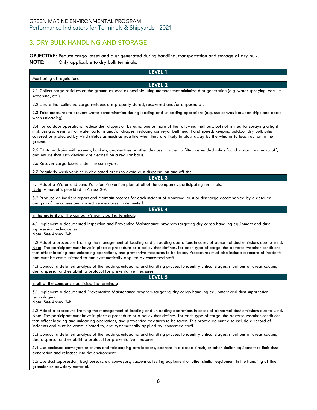# <span id="page-5-0"></span>3. DRY BULK HANDLING AND STORAGE

granular or powdery material.

**OBJECTIVE:** Reduce cargo losses and dust generated during handling, transportation and storage of dry bulk.<br>**NOTE:** Only applicable to dry bulk terminals. **NOTE:** Only applicable to dry bulk terminals.

| LEVEL 1                                                                                                                                                                                                                                                                                                                                                                                                                                                                                                 |
|---------------------------------------------------------------------------------------------------------------------------------------------------------------------------------------------------------------------------------------------------------------------------------------------------------------------------------------------------------------------------------------------------------------------------------------------------------------------------------------------------------|
| Monitoring of regulations                                                                                                                                                                                                                                                                                                                                                                                                                                                                               |
| LEVEL 2                                                                                                                                                                                                                                                                                                                                                                                                                                                                                                 |
| 2.1 Collect cargo residues on the ground as soon as possible using methods that minimize dust generation (e.g. water spraying, vacuum<br>sweeping, etc.).                                                                                                                                                                                                                                                                                                                                               |
| 2.2 Ensure that collected cargo residues are properly stored, recovered and/or disposed of.                                                                                                                                                                                                                                                                                                                                                                                                             |
| 2.3 Take measures to prevent water contamination during loading and unloading operations (e.g. use canvas between ships and docks<br>when unloading).                                                                                                                                                                                                                                                                                                                                                   |
| 2.4 For outdoor operations, reduce dust dispersion by using one or more of the following methods, but not limited to: spraying a light<br>mist; using screens, air or water curtains and/or drapes; reducing conveyor belt height and speed; keeping outdoor dry bulk piles<br>covered or protected by wind shields as much as possible when they are likely to blow away by the wind or to leach out on to the<br>ground.                                                                              |
| 2.5 Fit storm drains with screens, baskets, geo-textiles or other devices in order to filter suspended solids found in storm water runoff,<br>and ensure that such devices are cleaned on a regular basis.                                                                                                                                                                                                                                                                                              |
| 2.6 Recover cargo losses under the conveyors.                                                                                                                                                                                                                                                                                                                                                                                                                                                           |
| 2.7 Regularly wash vehicles in dedicated areas to avoid dust dispersal on and off site.                                                                                                                                                                                                                                                                                                                                                                                                                 |
| LEVEL 3                                                                                                                                                                                                                                                                                                                                                                                                                                                                                                 |
| 3.1 Adopt a Water and Land Pollution Prevention plan at all of the company's participating terminals.<br>Note: A model is provided in Annex 2-A.                                                                                                                                                                                                                                                                                                                                                        |
| 3.2 Produce an incident report and maintain records for each incident of abnormal dust or discharge accompanied by a detailed<br>analysis of the causes and corrective measures implemented.                                                                                                                                                                                                                                                                                                            |
| LEVEL 4                                                                                                                                                                                                                                                                                                                                                                                                                                                                                                 |
| In the majority of the company's participating terminals:                                                                                                                                                                                                                                                                                                                                                                                                                                               |
| 4.1 Implement a documented Inspection and Preventive Maintenance program targeting dry cargo handling equipment and dust<br>suppression technologies.<br>Note: See Annex 2-B.                                                                                                                                                                                                                                                                                                                           |
| 4.2 Adopt a procedure framing the management of loading and unloading operations in cases of abnormal dust emissions due to wind.<br>Note: The participant must have in place a procedure or a policy that defines, for each type of cargo, the adverse weather conditions<br>that affect loading and unloading operations, and preventive measures to be taken. Procedures must also include a record of incidents<br>and must be communicated to and systematically applied by concerned staff.       |
| 4.3 Conduct a detailed analysis of the loading, unloading and handling process to identify critical stages, situations or areas causing<br>dust dispersal and establish a protocol for preventative measures.                                                                                                                                                                                                                                                                                           |
| LEVEL 5                                                                                                                                                                                                                                                                                                                                                                                                                                                                                                 |
| In all of the company's participating terminals:                                                                                                                                                                                                                                                                                                                                                                                                                                                        |
| 5.1 Implement a documented Preventative Maintenance program targeting dry cargo handling equipment and dust suppression<br>technologies.<br>Note: See Annex 2-B.                                                                                                                                                                                                                                                                                                                                        |
| 5.2 Adopt a procedure framing the management of loading and unloading operations in cases of abnormal dust emissions due to wind.<br>Note: The participant must have in place a procedure or a policy that defines, for each type of cargo, the adverse weather conditions<br>that affect loading and unloading operations, and preventive measures to be taken. This procedure must also include a record of<br>incidents and must be communicated to, and systematically applied by, concerned staff. |
| 5.3 Conduct a detailed analysis of the loading, unloading and handling process to identify critical stages, situations or areas causing<br>dust dispersal and establish a protocol for preventative measures.                                                                                                                                                                                                                                                                                           |
| 5.4 Use enclosed conveyors or chutes and telescoping arm loaders, operate in a closed circuit, or other similar equipment to limit dust<br>generation and releases into the environment.                                                                                                                                                                                                                                                                                                                |
| 5.5 Use dust suppression, baghouse, screw conveyors, vacuum collecting equipment or other similar equipment in the handling of fine,                                                                                                                                                                                                                                                                                                                                                                    |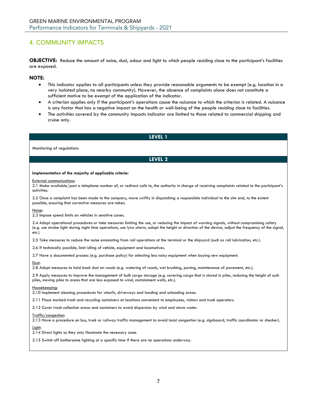# <span id="page-6-0"></span>4. COMMUNITY IMPACTS

**OBJECTIVE:** Reduce the amount of noise, dust, odour and light to which people residing close to the participant's facilities are exposed.

### **NOTE:**

- This indicator applies to all participants unless they provide reasonable arguments to be exempt (e.g. location in a very isolated place, no nearby community). However, the absence of complaints alone does not constitute a sufficient motive to be exempt of the application of the indicator.
- A criterion applies only if the participant's operations cause the nuisance to which the criterion is related. A nuisance is any factor that has a negative impact on the health or well-being of the people residing close to facilities.
- The activities covered by the community impacts indicator are limited to those related to commercial shipping and cruise only.

**LEVEL 1** Monitoring of regulations **LEVEL 2 Implementation of the majority of applicable criteria:** External communications: 2.1 Make available/post a telephone number of, or redirect calls to, the authority in charge of receiving complaints related to the participant's activities. 2.2 Once a complaint has been made to the company, move swiftly in dispatching a responsible individual to the site and, to the extent possible, ensuring that corrective measures are taken. Noise: 2.3 Impose speed limits on vehicles in sensitive zones. 2.4 Adopt operational procedures or take measures limiting the use, or reducing the impact of warning signals, without compromising safety (e.g. use strobe light during night time operations, use lynx alarm, adapt the height or direction of the device, adjust the frequency of the signal, 2.5 Take measures to reduce the noise emanating from rail operations at the terminal or the shipyard (such as rail lubrication, etc.). 2.6 If technically possible, limit idling of vehicle, equipment and locomotives. 2.7 Have a documented process (e.g. purchase policy) for selecting less noisy equipment when buying new equipment. 2.8 Adopt measures to hold back dust on roads (e.g. watering of roads, wet brushing, paving, maintenance of pavement, etc.). 2.9 Apply measures to improve the management of bulk cargo storage (e.g. covering cargo that is stored in piles, reducing the height of such piles, moving piles to areas that are less exposed to wind, containment walls, etc.). Housekeeping: 2.10 Implement cleaning procedures for wharfs, driveways and loading and unloading areas. 2.11 Place marked trash and recycling containers at locations convenient to employees, visitors and truck operators.

2.12 Cover trash collection areas and containers to avoid dispersion by wind and storm water.

#### Traffic/congestion:

2.13 Have a procedure on bus, truck or railway traffic management to avoid local congestion (e.g. signboard, traffic coordinator or checker).

#### Light:

etc.)

Dust:

2.14 Direct lights so they only illuminate the necessary zone.

2.15 Switch off bothersome lighting at a specific time if there are no operations underway.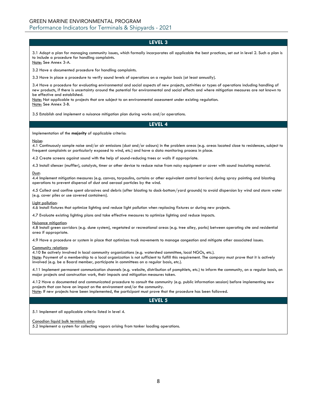3.1 Adopt a plan for managing community issues, which formally incorporates all applicable the best practices, set out in level 2. Such a plan is to include a procedure for handling complaints.

Note: See Annex 3-A.

3.2 Have a documented procedure for handling complaints.

3.3 Have in place a procedure to verify sound levels of operations on a regular basis (at least annually).

3.4 Have a procedure for evaluating environmental and social aspects of new projects, activities or types of operations including handling of new products, if there is uncertainty around the potential for environmental and social effects and where mitigation measures are not known to be effective and established.

Note: Not applicable to projects that are subject to an environmental assessment under existing regulation. Note: See Annex 3-B.

3.5 Establish and implement a nuisance mitigation plan during works and/or operations.

#### **LEVEL 4**

Implementation of the **majority** of applicable criteria:

#### Noise:

4.1 Continuously sample noise and/or air emissions (dust and/or odours) in the problem areas (e.g. areas located close to residences, subject to frequent complaints or particularly exposed to wind, etc.) and have a data monitoring process in place.

4.2 Create screens against sound with the help of sound-reducing trees or walls if appropriate.

4.3 Install silencer (muffler), catalysts, timer or other device to reduce noise from noisy equipment or cover with sound insulating material.

#### Dust:

4.4 Implement mitigation measures (e.g. canvas, tarpaulins, curtains or other equivalent control barriers) during spray painting and blasting operations to prevent dispersal of dust and aerosol particles by the wind.

4.5 Collect and confine spent abrasives and debris (after blasting to dock-bottom/yard grounds) to avoid dispersion by wind and storm water (e.g. cover piles or use covered containers).

#### Light pollution:

4.6 Install fixtures that optimize lighting and reduce light pollution when replacing fixtures or during new projects.

4.7 Evaluate existing lighting plans and take effective measures to optimize lighting and reduce impacts.

#### Nuisance mitigation:

4.8 Install green corridors (e.g. dune system), vegetated or recreational areas (e.g. tree alley, parks) between operating site and residential area if appropriate.

4.9 Have a procedure or system in place that optimizes truck movements to manage congestion and mitigate other associated issues.

#### Community relations:

4.10 Be actively involved in local community organizations (e.g. watershed committee, local NGOs, etc.).

Note: Payment of a membership to a local organization is not sufficient to fulfill this requirement. The company must prove that it is actively involved (e.g. be a Board member, participate in committees on a regular basis, etc.).

4.11 Implement permanent communication channels (e.g. website, distribution of pamphlets, etc.) to inform the community, on a regular basis, on major projects and construction work, their impacts and mitigation measures taken.

4.12 Have a documented and communicated procedure to consult the community (e.g. public information session) before implementing new projects that can have an impact on the environment and/or the community.

Note: If new projects have been implemented, the participant must prove that the procedure has been followed.

#### **LEVEL 5**

5.1 Implement all applicable criteria listed in level 4.

Canadian liquid bulk terminals only:

5.2 Implement a system for collecting vapors arising from tanker loading operations.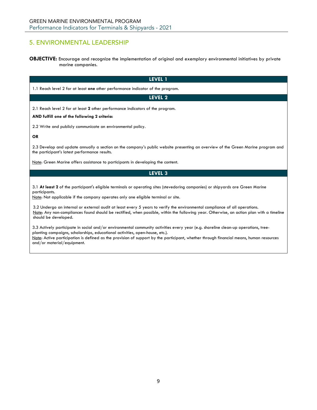# <span id="page-8-0"></span>5. ENVIRONMENTAL LEADERSHIP

**OBJECTIVE:** Encourage and recognize the implementation of original and exemplary environmental initiatives by private marine companies.

| <b>LEVEL 1</b>                                                                                                                                                                                                                                                                                                                                                                                                                                                                                                                         |  |  |  |
|----------------------------------------------------------------------------------------------------------------------------------------------------------------------------------------------------------------------------------------------------------------------------------------------------------------------------------------------------------------------------------------------------------------------------------------------------------------------------------------------------------------------------------------|--|--|--|
| 1.1 Reach level 2 for at least one other performance indicator of the program.                                                                                                                                                                                                                                                                                                                                                                                                                                                         |  |  |  |
| LEVEL 2                                                                                                                                                                                                                                                                                                                                                                                                                                                                                                                                |  |  |  |
| 2.1 Reach level 2 for at least 2 other performance indicators of the program.                                                                                                                                                                                                                                                                                                                                                                                                                                                          |  |  |  |
| AND fulfill one of the following 2 criteria:                                                                                                                                                                                                                                                                                                                                                                                                                                                                                           |  |  |  |
| 2.2 Write and publicly communicate an environmental policy.                                                                                                                                                                                                                                                                                                                                                                                                                                                                            |  |  |  |
| <b>OR</b>                                                                                                                                                                                                                                                                                                                                                                                                                                                                                                                              |  |  |  |
| 2.3 Develop and update annually a section on the company's public website presenting an overview of the Green Marine program and<br>the participant's latest performance results.                                                                                                                                                                                                                                                                                                                                                      |  |  |  |
| Note: Green Marine offers assistance to participants in developing the content.                                                                                                                                                                                                                                                                                                                                                                                                                                                        |  |  |  |
| <b>LEVEL 3</b>                                                                                                                                                                                                                                                                                                                                                                                                                                                                                                                         |  |  |  |
| 3.1 At least 2 of the participant's eligible terminals or operating sites (stevedoring companies) or shipyards are Green Marine<br>participants.<br>Note: Not applicable if the company operates only one eligible terminal or site.<br>3.2 Undergo an internal or external audit at least every 5 years to verify the environmental compliance of all operations.<br>Note: Any non-compliances found should be rectified, when possible, within the following year. Otherwise, an action plan with a timeline<br>should be developed. |  |  |  |

3.3 Actively participate in social and/or environmental community activities every year (e.g. shoreline clean-up operations, treeplanting campaigns, scholarships, educational activities, open-house, etc.). Note: Active participation is defined as the provision of support by the participant, whether through financial means, human resources and/or material/equipment.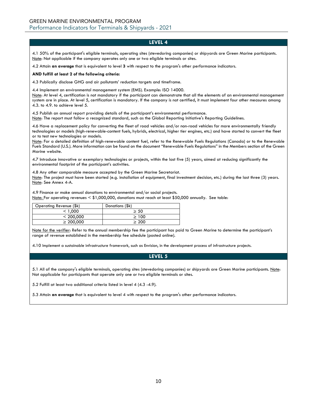4.1 50% of the participant's eligible terminals, operating sites (stevedoring companies) or shipyards are Green Marine participants. Note: Not applicable if the company operates only one or two eligible terminals or sites.

4.2 Attain **an average** that is equivalent to level **3** with respect to the program's other performance indicators.

#### **AND fulfill at least 2 of the following criteria:**

4.3 Publically disclose GHG and air pollutants' reduction targets and timeframe.

4.4 Implement an environmental management system (EMS). Example: ISO 14000.

Note: At level 4, certification is not mandatory if the participant can demonstrate that all the elements of an environmental management system are in place. At level 5, certification is mandatory. If the company is not certified, it must implement four other measures among 4.3. to 4.9. to achieve level 5.

4.5 Publish an annual report providing details of the participant's environmental performance.

Note: The report must follow a recognized standard, such as the Global Reporting Initiative's Reporting Guidelines.

4.6 Have a replacement policy for converting the fleet of road vehicles and/or non-road vehicles for more environmentally friendly technologies or models (high-renewable-content fuels, hybrids, electrical, higher tier engines, etc.) and have started to convert the fleet or to test new technologies or models.

Note: For a detailed definition of high-renewable content fuel, refer to the Renewable Fuels Regulations (Canada) or to the Renewable Fuels Standard (U.S.). More information can be found on the document "Renewable Fuels Regulations" in the Members section of the Green Marine website.

4.7 Introduce innovative or exemplary technologies or projects, within the last five (5) years, aimed at reducing significantly the environmental footprint of the participant's activities.

4.8 Any other comparable measure accepted by the Green Marine Secretariat. Note: The project must have been started (e.g. installation of equipment, final investment decision, etc.) during the last three (3) years. Note: See Annex 4-A.

4.9 Finance or make annual donations to environmental and/or social projects. Note: For operating revenues < \$1,000,000, donations must reach at least \$50,000 annually. See table:

| Operating Revenue (\$k) | Donations (\$k) |
|-------------------------|-----------------|
| < 1.000                 | $\geq 50$       |
| < 200.000               | >100            |
| $\geq 200.000$          | > 200           |

Note for the verifier: Refer to the annual membership fee the participant has paid to Green Marine to determine the participant's range of revenue established in the membership fee schedule (posted online).

4.10 Implement a sustainable infrastructure framework, such as Envision, in the development process of infrastructure projects.

## **LEVEL 5**

5.1 All of the company's eligible terminals, operating sites (stevedoring companies) or shipyards are Green Marine participants. Note: Not applicable for participants that operate only one or two eligible terminals or sites.

5.2 Fulfill at least two additional criteria listed in level 4 (4.3 -4.9).

5.3 Attain **an average** that is equivalent to level 4 with respect to the program's other performance indicators.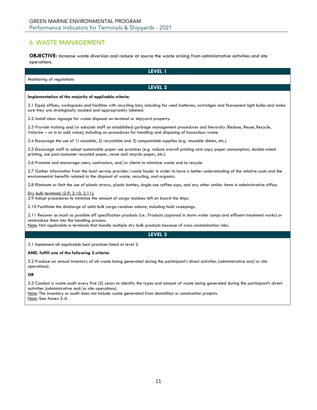# <span id="page-10-0"></span>6. WASTE MANAGEMENT

**OBJECTIVE:** Increase waste diversion and reduce at source the waste arising from administrative activities and site operations.

| LEVEL 1                                                                                                                                                                                                                                                                                                                            |
|------------------------------------------------------------------------------------------------------------------------------------------------------------------------------------------------------------------------------------------------------------------------------------------------------------------------------------|
| Monitoring of regulations                                                                                                                                                                                                                                                                                                          |
| LEVEL 2                                                                                                                                                                                                                                                                                                                            |
| Implementation of the majority of applicable criteria:                                                                                                                                                                                                                                                                             |
| 2.1 Equip offices, workspaces and facilities with recycling bins, including for used batteries, cartridges and fluorescent light bulbs and make<br>sure they are strategically located and appropriately labeled.                                                                                                                  |
| 2.2 Install clear signage for waste disposal on terminal or shipyard property.                                                                                                                                                                                                                                                     |
| 2.3 Provide training and/or educate staff on established garbage management procedures and hierarchy (Reduce, Reuse, Recycle,<br>Valorize - as in to add value), including on procedures for handling and disposing of hazardous waste.                                                                                            |
| 2.4 Encourage the use of 1) reusable, 2) recyclable and 3) compostable supplies (e.g. reusable dishes, etc.).                                                                                                                                                                                                                      |
| 2.5 Encourage staff to adopt sustainable paper use practices (e.g. reduce overall printing and copy paper consumption, double-sided<br>printing, use post-consumer recycled paper, reuse and recycle paper, etc.).                                                                                                                 |
| 2.6 Promote and encourage users, contractors, and/or clients to minimize waste and to recycle.                                                                                                                                                                                                                                     |
| 2.7 Gather information from the local service provider/waste hauler in order to have a better understanding of the relative costs and the<br>environmental benefits related to the disposal of waste, recycling, and organics.                                                                                                     |
| 2.8 Eliminate or limit the use of plastic straws, plastic bottles, single-use coffee cups, and any other similar items in administrative office.                                                                                                                                                                                   |
| Dry bulk terminals (2.9, 2.10, 2.11):<br>2.9 Adopt procedures to minimize the amount of cargo residues left on board the ships.                                                                                                                                                                                                    |
| 2.10 Facilitate the discharge of solid bulk cargo residues ashore, including hold sweepings.                                                                                                                                                                                                                                       |
| 2.11 Recover as much as possible off specification products (i.e.: Products captured in storm water sumps and effluent treatment works) or<br>reintroduce them into the handling process.<br>Note: Not applicable in terminals that handle multiple dry bulk products because of cross contamination risks.                        |
| LEVEL 3                                                                                                                                                                                                                                                                                                                            |
| 3.1 Implement all applicable best practices listed at level 2.                                                                                                                                                                                                                                                                     |
| AND, fulfill one of the following 2 criteria:                                                                                                                                                                                                                                                                                      |
| 3.2 Produce an annual inventory of all waste being generated during the participant's direct activities (administrative and/or site<br>operations).                                                                                                                                                                                |
| ΟR                                                                                                                                                                                                                                                                                                                                 |
| 3.3 Conduct a waste audit every five (5) years to identify the types and amount of waste being generated during the participant's direct<br>activities (administrative and/or site operations).<br>Note: The inventory or audit does not include waste generated from demolition or construction projects.<br>Note: See Annex 5-A. |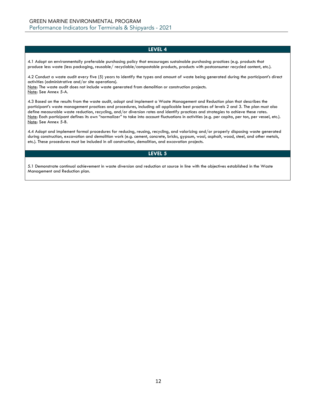4.1 Adopt an environmentally preferable purchasing policy that encourages sustainable purchasing practices (e.g. products that produce less waste (less packaging, reusable/ recyclable/compostable products, products with postconsumer recycled content, etc.).

4.2 Conduct a waste audit every five (5) years to identify the types and amount of waste being generated during the participant's direct activities (administrative and/or site operations).

Note: The waste audit does not include waste generated from demolition or construction projects. Note: See Annex 5-A.

4.3 Based on the results from the waste audit, adopt and implement a Waste Management and Reduction plan that describes the participant's waste management practices and procedures, including all applicable best practices of levels 2 and 3. The plan must also define measurable waste reduction, recycling, and/or diversion rates and identify practices and strategies to achieve these rates. Note: Each participant defines its own "normalizer" to take into account fluctuations in activities (e.g. per capita, per ton, per vessel, etc.). Note: See Annex 5-B.

4.4 Adopt and implement formal procedures for reducing, reusing, recycling, and valorizing and/or properly disposing waste generated during construction, excavation and demolition work (e.g. cement, concrete, bricks, gypsum, wool, asphalt, wood, steel, and other metals, etc.). These procedures must be included in all construction, demolition, and excavation projects.

## **LEVEL 5**

5.1 Demonstrate continual achievement in waste diversion and reduction at source in line with the objectives established in the Waste Management and Reduction plan.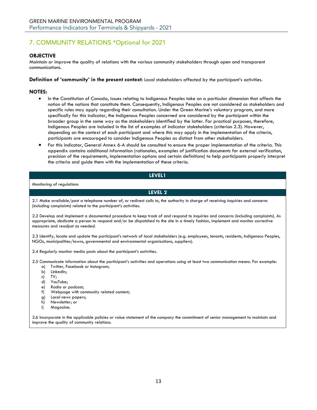# <span id="page-12-0"></span>7. COMMUNITY RELATIONS \*Optional for 2021

## **OBJECTIVE**

Maintain or improve the quality of relations with the various community stakeholders through open and transparent communications.

**Definition of 'community' in the present context**: Local stakeholders affected by the participant's activities.

## **NOTES:**

- In the Constitution of Canada, issues relating to Indigenous Peoples take on a particular dimension that affects the notion of the nations that constitute them. Consequently, Indigenous Peoples are not considered as stakeholders and specific rules may apply regarding their consultation. Under the Green Marine's voluntary program, and more specifically for this indicator, the Indigenous Peoples concerned are considered by the participant within the broader group in the same way as the stakeholders identified by the latter. For practical purposes, therefore, Indigenous Peoples are included in the list of examples of indicator stakeholders (criterion 2.3). However, depending on the context of each participant and where this may apply in the implementation of the criteria, participants are encouraged to consider Indigenous Peoples as distinct from other stakeholders.
- For this indicator, General Annex 6-A should be consulted to ensure the proper implementation of the criteria. This appendix contains additional information (rationales, examples of justification documents for external verification, precision of the requirements, implementation options and certain definitions) to help participants properly interpret the criteria and guide them with the implementation of these criteria.

## **LEVEL1**

Monitoring of regulations

**LEVEL 2**

2.1 Make available/post a telephone number of, or redirect calls to, the authority in charge of receiving inquiries and concerns (including complaints) related to the participant's activities.

2.2 Develop and implement a documented procedure to keep track of and respond to inquiries and concerns (including complaints). As appropriate, dedicate a person to respond and/or be dispatched to the site in a timely fashion, implement and monitor corrective measures and readjust as needed.

2.3 Identify, locate and update the participant's network of local stakeholders (e.g. employees, tenants, residents, Indigenous Peoples, NGOs, municipalities/towns, governmental and environmental organizations, suppliers).

2.4 Regularly monitor media posts about the participant's activities.

2.5 Communicate information about the participant's activities and operations using at least two communication means. For example:

- a) Twitter, Facebook or Instagram;
- b) LinkedIn;
- c) TV;
- d) YouTube;
- e) Radio or podcast;
- f) Webpage with community related content;
- g) Local news papers;
- h) Newsletter; or
- i) Magazine.

2.6 Incorporate in the applicable policies or value statement of the company the commitment of senior management to maintain and improve the quality of community relations.